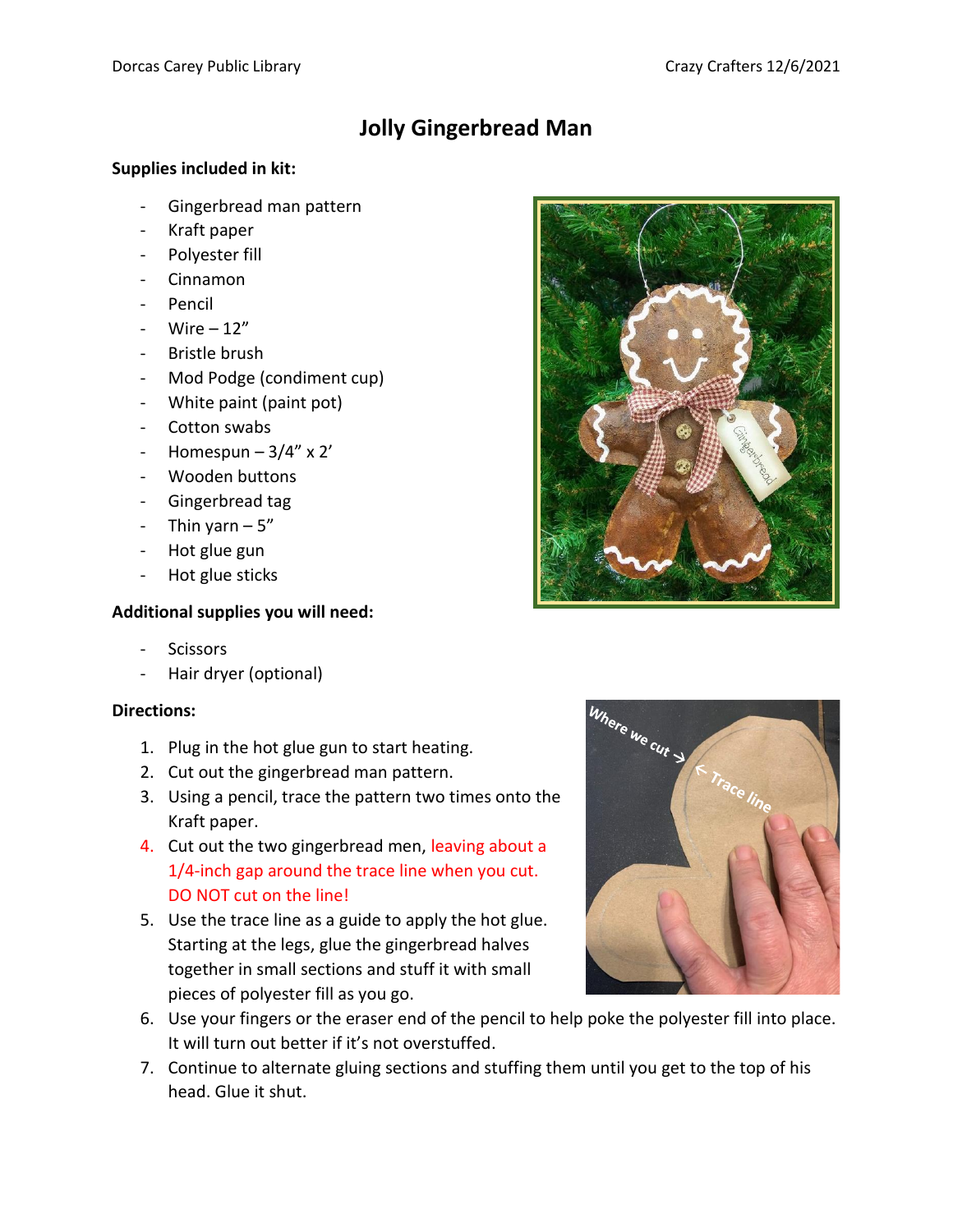## **Jolly Gingerbread Man**

## **Supplies included in kit:**

- Gingerbread man pattern
- Kraft paper
- Polyester fill
- Cinnamon
- Pencil
- Wire  $-12$ "
- Bristle brush
- Mod Podge (condiment cup)
- White paint (paint pot)
- Cotton swabs
- Homespun  $-3/4$ " x 2'
- Wooden buttons
- Gingerbread tag
- Thin yarn  $-5$ "
- Hot glue gun
- Hot glue sticks

## **Additional supplies you will need:**

- **Scissors**
- Hair dryer (optional)

## **Directions:**

- 1. Plug in the hot glue gun to start heating.
- 2. Cut out the gingerbread man pattern.
- 3. Using a pencil, trace the pattern two times onto the Kraft paper.
- 4. Cut out the two gingerbread men, leaving about a 1/4-inch gap around the trace line when you cut. DO NOT cut on the line!
- 5. Use the trace line as a guide to apply the hot glue. Starting at the legs, glue the gingerbread halves together in small sections and stuff it with small pieces of polyester fill as you go.
- 6. Use your fingers or the eraser end of the pencil to help poke the polyester fill into place. It will turn out better if it's not overstuffed.
- 7. Continue to alternate gluing sections and stuffing them until you get to the top of his head. Glue it shut.